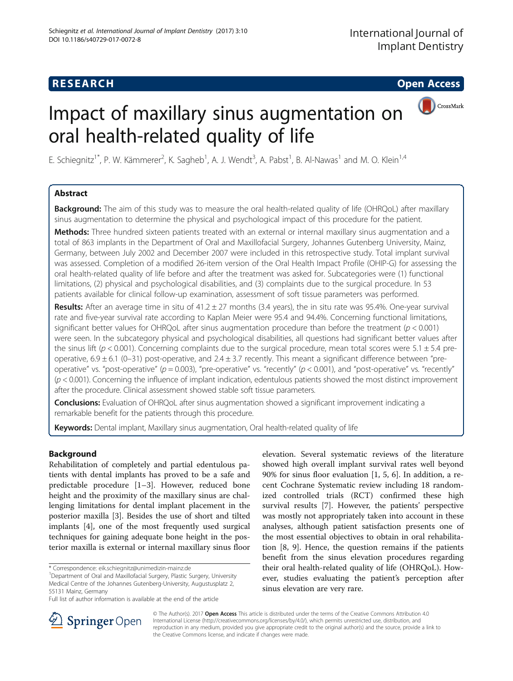# **RESEARCH CHEAR CHEAR CHEAR CHEAR CHEAR CHEAR CHEAR CHEAR CHEAR CHEAR CHEAR CHEAR CHEAR CHEAR CHEAR CHEAR CHEAR**

# Impact of maxillary sinus augmentation on oral health-related quality of life



E. Schiegnitz<sup>1\*</sup>, P. W. Kämmerer<sup>2</sup>, K. Sagheb<sup>1</sup>, A. J. Wendt<sup>3</sup>, A. Pabst<sup>1</sup>, B. Al-Nawas<sup>1</sup> and M. O. Klein<sup>1,4</sup>

# Abstract

**Background:** The aim of this study was to measure the oral health-related quality of life (OHRQoL) after maxillary sinus augmentation to determine the physical and psychological impact of this procedure for the patient.

Methods: Three hundred sixteen patients treated with an external or internal maxillary sinus augmentation and a total of 863 implants in the Department of Oral and Maxillofacial Surgery, Johannes Gutenberg University, Mainz, Germany, between July 2002 and December 2007 were included in this retrospective study. Total implant survival was assessed. Completion of a modified 26-item version of the Oral Health Impact Profile (OHIP-G) for assessing the oral health-related quality of life before and after the treatment was asked for. Subcategories were (1) functional limitations, (2) physical and psychological disabilities, and (3) complaints due to the surgical procedure. In 53 patients available for clinical follow-up examination, assessment of soft tissue parameters was performed.

Results: After an average time in situ of  $41.2 \pm 27$  months (3.4 years), the in situ rate was 95.4%. One-year survival rate and five-year survival rate according to Kaplan Meier were 95.4 and 94.4%. Concerning functional limitations, significant better values for OHRQoL after sinus augmentation procedure than before the treatment ( $p < 0.001$ ) were seen. In the subcategory physical and psychological disabilities, all questions had significant better values after the sinus lift ( $p < 0.001$ ). Concerning complaints due to the surgical procedure, mean total scores were 5.1  $\pm$  5.4 preoperative,  $6.9 \pm 6.1$  (0–31) post-operative, and  $2.4 \pm 3.7$  recently. This meant a significant difference between "preoperative" vs. "post-operative" ( $p = 0.003$ ), "pre-operative" vs. "recently" ( $p < 0.001$ ), and "post-operative" vs. "recently"  $(p < 0.001)$ . Concerning the influence of implant indication, edentulous patients showed the most distinct improvement after the procedure. Clinical assessment showed stable soft tissue parameters.

**Conclusions:** Evaluation of OHRQoL after sinus augmentation showed a significant improvement indicating a remarkable benefit for the patients through this procedure.

Keywords: Dental implant, Maxillary sinus augmentation, Oral health-related quality of life

# Background

Rehabilitation of completely and partial edentulous patients with dental implants has proved to be a safe and predictable procedure [\[1](#page-6-0)–[3](#page-6-0)]. However, reduced bone height and the proximity of the maxillary sinus are challenging limitations for dental implant placement in the posterior maxilla [\[3](#page-6-0)]. Besides the use of short and tilted implants [[4\]](#page-6-0), one of the most frequently used surgical techniques for gaining adequate bone height in the posterior maxilla is external or internal maxillary sinus floor

elevation. Several systematic reviews of the literature showed high overall implant survival rates well beyond 90% for sinus floor evaluation [\[1](#page-6-0), [5, 6\]](#page-7-0). In addition, a recent Cochrane Systematic review including 18 randomized controlled trials (RCT) confirmed these high survival results [[7\]](#page-7-0). However, the patients' perspective was mostly not appropriately taken into account in these analyses, although patient satisfaction presents one of the most essential objectives to obtain in oral rehabilitation [\[8](#page-7-0), [9\]](#page-7-0). Hence, the question remains if the patients benefit from the sinus elevation procedures regarding their oral health-related quality of life (OHRQoL). However, studies evaluating the patient's perception after sinus elevation are very rare.



© The Author(s). 2017 **Open Access** This article is distributed under the terms of the Creative Commons Attribution 4.0 International License ([http://creativecommons.org/licenses/by/4.0/\)](http://creativecommons.org/licenses/by/4.0/), which permits unrestricted use, distribution, and reproduction in any medium, provided you give appropriate credit to the original author(s) and the source, provide a link to the Creative Commons license, and indicate if changes were made.

<sup>\*</sup> Correspondence: [eik.schiegnitz@unimedizin-mainz.de](mailto:eik.schiegnitz@unimedizin-mainz.de) <sup>1</sup>

<sup>&</sup>lt;sup>1</sup>Department of Oral and Maxillofacial Surgery, Plastic Surgery, University Medical Centre of the Johannes Gutenberg-University, Augustusplatz 2, 55131 Mainz, Germany

Full list of author information is available at the end of the article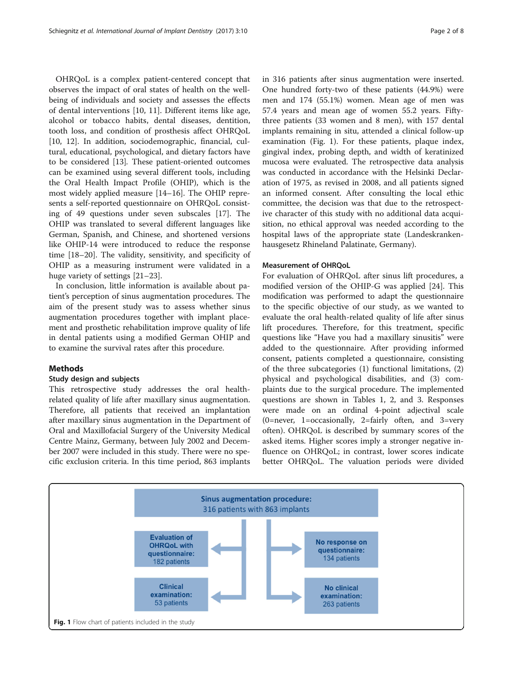OHRQoL is a complex patient-centered concept that observes the impact of oral states of health on the wellbeing of individuals and society and assesses the effects of dental interventions [\[10](#page-7-0), [11\]](#page-7-0). Different items like age, alcohol or tobacco habits, dental diseases, dentition, tooth loss, and condition of prosthesis affect OHRQoL [[10, 12\]](#page-7-0). In addition, sociodemographic, financial, cultural, educational, psychological, and dietary factors have to be considered [[13\]](#page-7-0). These patient-oriented outcomes can be examined using several different tools, including the Oral Health Impact Profile (OHIP), which is the most widely applied measure [[14](#page-7-0)–[16\]](#page-7-0). The OHIP represents a self-reported questionnaire on OHRQoL consisting of 49 questions under seven subscales [\[17](#page-7-0)]. The OHIP was translated to several different languages like German, Spanish, and Chinese, and shortened versions like OHIP-14 were introduced to reduce the response time [\[18](#page-7-0)–[20\]](#page-7-0). The validity, sensitivity, and specificity of OHIP as a measuring instrument were validated in a huge variety of settings [\[21](#page-7-0)–[23](#page-7-0)].

In conclusion, little information is available about patient's perception of sinus augmentation procedures. The aim of the present study was to assess whether sinus augmentation procedures together with implant placement and prosthetic rehabilitation improve quality of life in dental patients using a modified German OHIP and to examine the survival rates after this procedure.

# **Methods**

### Study design and subjects

This retrospective study addresses the oral healthrelated quality of life after maxillary sinus augmentation. Therefore, all patients that received an implantation after maxillary sinus augmentation in the Department of Oral and Maxillofacial Surgery of the University Medical Centre Mainz, Germany, between July 2002 and December 2007 were included in this study. There were no specific exclusion criteria. In this time period, 863 implants in 316 patients after sinus augmentation were inserted. One hundred forty-two of these patients (44.9%) were men and 174 (55.1%) women. Mean age of men was 57.4 years and mean age of women 55.2 years. Fiftythree patients (33 women and 8 men), with 157 dental implants remaining in situ, attended a clinical follow-up examination (Fig. 1). For these patients, plaque index, gingival index, probing depth, and width of keratinized mucosa were evaluated. The retrospective data analysis was conducted in accordance with the Helsinki Declaration of 1975, as revised in 2008, and all patients signed an informed consent. After consulting the local ethic committee, the decision was that due to the retrospective character of this study with no additional data acquisition, no ethical approval was needed according to the hospital laws of the appropriate state (Landeskrankenhausgesetz Rhineland Palatinate, Germany).

#### Measurement of OHRQoL

For evaluation of OHRQoL after sinus lift procedures, a modified version of the OHIP-G was applied [\[24](#page-7-0)]. This modification was performed to adapt the questionnaire to the specific objective of our study, as we wanted to evaluate the oral health-related quality of life after sinus lift procedures. Therefore, for this treatment, specific questions like "Have you had a maxillary sinusitis" were added to the questionnaire. After providing informed consent, patients completed a questionnaire, consisting of the three subcategories (1) functional limitations, (2) physical and psychological disabilities, and (3) complaints due to the surgical procedure. The implemented questions are shown in Tables [1, 2,](#page-2-0) and [3.](#page-3-0) Responses were made on an ordinal 4-point adjectival scale (0=never, 1=occasionally, 2=fairly often, and 3=very often). OHRQoL is described by summary scores of the asked items. Higher scores imply a stronger negative influence on OHRQoL; in contrast, lower scores indicate better OHRQoL. The valuation periods were divided

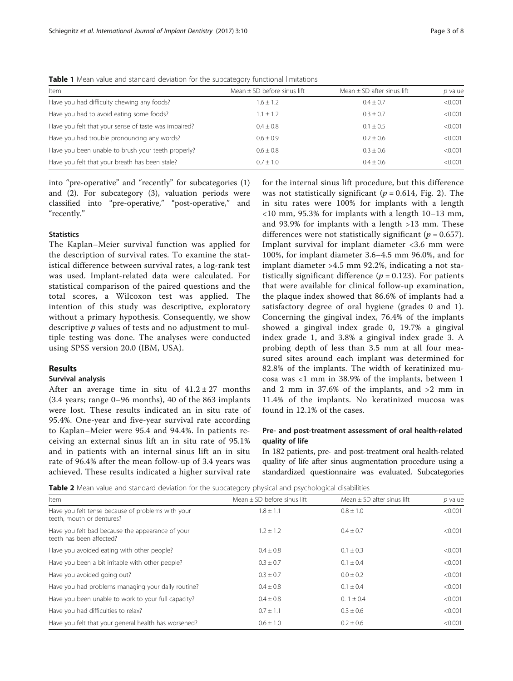| Item                                                 | Mean $\pm$ SD before sinus lift | Mean $\pm$ SD after sinus lift | p value |  |  |
|------------------------------------------------------|---------------------------------|--------------------------------|---------|--|--|
| Have you had difficulty chewing any foods?           | $1.6 + 1.2$                     | $0.4 + 0.7$                    | < 0.001 |  |  |
| Have you had to avoid eating some foods?             | $1.1 \pm 1.2$                   | $0.3 \pm 0.7$                  | < 0.001 |  |  |
| Have you felt that your sense of taste was impaired? | $0.4 \pm 0.8$                   | $0.1 + 0.5$                    | < 0.001 |  |  |
| Have you had trouble pronouncing any words?          | $0.6 \pm 0.9$                   | $0.2 \pm 0.6$                  | < 0.001 |  |  |
| Have you been unable to brush your teeth properly?   | $0.6 \pm 0.8$                   | $0.3 \pm 0.6$                  | < 0.001 |  |  |
| Have you felt that your breath has been stale?       | $0.7 + 1.0$                     | $0.4 + 0.6$                    | < 0.001 |  |  |

<span id="page-2-0"></span>**Table 1** Mean value and standard deviation for the subcategory functional limitations

into "pre-operative" and "recently" for subcategories (1) and (2). For subcategory (3), valuation periods were classified into "pre-operative," "post-operative," and "recently."

## **Statistics**

The Kaplan–Meier survival function was applied for the description of survival rates. To examine the statistical difference between survival rates, a log-rank test was used. Implant-related data were calculated. For statistical comparison of the paired questions and the total scores, a Wilcoxon test was applied. The intention of this study was descriptive, exploratory without a primary hypothesis. Consequently, we show descriptive  $p$  values of tests and no adjustment to multiple testing was done. The analyses were conducted using SPSS version 20.0 (IBM, USA).

### Results

#### Survival analysis

After an average time in situ of  $41.2 \pm 27$  months (3.4 years; range 0–96 months), 40 of the 863 implants were lost. These results indicated an in situ rate of 95.4%. One-year and five-year survival rate according to Kaplan–Meier were 95.4 and 94.4%. In patients receiving an external sinus lift an in situ rate of 95.1% and in patients with an internal sinus lift an in situ rate of 96.4% after the mean follow-up of 3.4 years was achieved. These results indicated a higher survival rate

for the internal sinus lift procedure, but this difference was not statistically significant ( $p = 0.614$ , Fig. [2\)](#page-3-0). The in situ rates were 100% for implants with a length <10 mm, 95.3% for implants with a length 10–13 mm, and 93.9% for implants with a length >13 mm. These differences were not statistically significant ( $p = 0.657$ ). Implant survival for implant diameter <3.6 mm were 100%, for implant diameter 3.6–4.5 mm 96.0%, and for implant diameter >4.5 mm 92.2%, indicating a not statistically significant difference ( $p = 0.123$ ). For patients that were available for clinical follow-up examination, the plaque index showed that 86.6% of implants had a satisfactory degree of oral hygiene (grades 0 and 1). Concerning the gingival index, 76.4% of the implants showed a gingival index grade 0, 19.7% a gingival index grade 1, and 3.8% a gingival index grade 3. A probing depth of less than 3.5 mm at all four measured sites around each implant was determined for 82.8% of the implants. The width of keratinized mucosa was <1 mm in 38.9% of the implants, between 1 and 2 mm in 37.6% of the implants, and >2 mm in 11.4% of the implants. No keratinized mucosa was found in 12.1% of the cases.

# Pre- and post-treatment assessment of oral health-related quality of life

In 182 patients, pre- and post-treatment oral health-related quality of life after sinus augmentation procedure using a standardized questionnaire was evaluated. Subcategories

**Table 2** Mean value and standard deviation for the subcategory physical and psychological disabilities

| Item                                                                           | Mean $\pm$ SD before sinus lift | Mean $\pm$ SD after sinus lift | p value |
|--------------------------------------------------------------------------------|---------------------------------|--------------------------------|---------|
| Have you felt tense because of problems with your<br>teeth, mouth or dentures? | $1.8 \pm 1.1$                   | $0.8 \pm 1.0$                  | < 0.001 |
| Have you felt bad because the appearance of your<br>teeth has been affected?   | $1.2 + 1.2$                     | $0.4 + 0.7$                    | < 0.001 |
| Have you avoided eating with other people?                                     | $0.4 \pm 0.8$                   | $0.1 \pm 0.3$                  | < 0.001 |
| Have you been a bit irritable with other people?                               | $0.3 \pm 0.7$                   | $0.1 + 0.4$                    | < 0.001 |
| Have you avoided going out?                                                    | $0.3 \pm 0.7$                   | $0.0 + 0.2$                    | < 0.001 |
| Have you had problems managing your daily routine?                             | $0.4 \pm 0.8$                   | $0.1 + 0.4$                    | < 0.001 |
| Have you been unable to work to your full capacity?                            | $0.4 \pm 0.8$                   | $0.1 \pm 0.4$                  | < 0.001 |
| Have you had difficulties to relax?                                            | $0.7 + 1.1$                     | $0.3 + 0.6$                    | < 0.001 |
| Have you felt that your general health has worsened?                           | $0.6 + 1.0$                     | $0.2 + 0.6$                    | < 0.001 |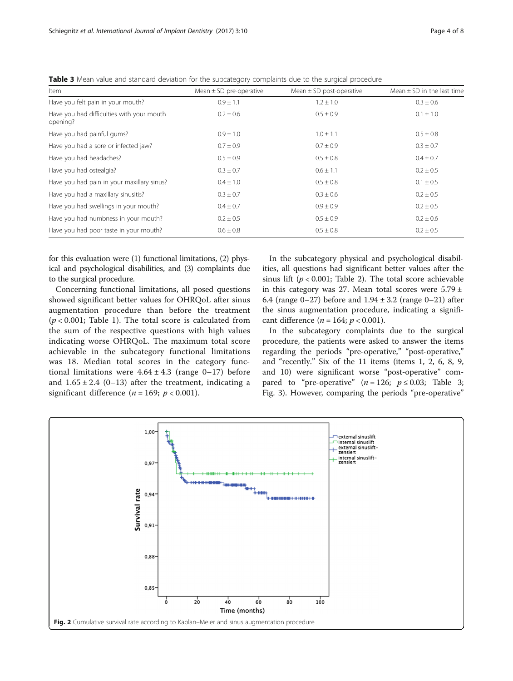<span id="page-3-0"></span>

| Table 3 Mean value and standard deviation for the subcategory complaints due to the surgical procedure |  |
|--------------------------------------------------------------------------------------------------------|--|
|--------------------------------------------------------------------------------------------------------|--|

| Item                                                  | Mean $\pm$ SD pre-operative | Mean $\pm$ SD post-operative | Mean $\pm$ SD in the last time |
|-------------------------------------------------------|-----------------------------|------------------------------|--------------------------------|
| Have you felt pain in your mouth?                     | $0.9 \pm 1.1$               | $1.2 \pm 1.0$                | $0.3 \pm 0.6$                  |
| Have you had difficulties with your mouth<br>opening? | $0.2 \pm 0.6$               | $0.5 \pm 0.9$                | $0.1 \pm 1.0$                  |
| Have you had painful gums?                            | $0.9 \pm 1.0$               | $1.0 \pm 1.1$                | $0.5 \pm 0.8$                  |
| Have you had a sore or infected jaw?                  | $0.7 \pm 0.9$               | $0.7 \pm 0.9$                | $0.3 \pm 0.7$                  |
| Have you had headaches?                               | $0.5 \pm 0.9$               | $0.5 \pm 0.8$                | $0.4 \pm 0.7$                  |
| Have you had ostealgia?                               | $0.3 \pm 0.7$               | $0.6 \pm 1.1$                | $0.2 \pm 0.5$                  |
| Have you had pain in your maxillary sinus?            | $0.4 \pm 1.0$               | $0.5 \pm 0.8$                | $0.1 \pm 0.5$                  |
| Have you had a maxillary sinusitis?                   | $0.3 \pm 0.7$               | $0.3 \pm 0.6$                | $0.2 \pm 0.5$                  |
| Have you had swellings in your mouth?                 | $0.4 \pm 0.7$               | $0.9 \pm 0.9$                | $0.2 \pm 0.5$                  |
| Have you had numbness in your mouth?                  | $0.2 \pm 0.5$               | $0.5 \pm 0.9$                | $0.2 \pm 0.6$                  |
| Have you had poor taste in your mouth?                | $0.6 \pm 0.8$               | $0.5 \pm 0.8$                | $0.2 \pm 0.5$                  |

for this evaluation were (1) functional limitations, (2) physical and psychological disabilities, and (3) complaints due to the surgical procedure.

Concerning functional limitations, all posed questions showed significant better values for OHRQoL after sinus augmentation procedure than before the treatment  $(p < 0.001$ ; Table [1\)](#page-2-0). The total score is calculated from the sum of the respective questions with high values indicating worse OHRQoL. The maximum total score achievable in the subcategory functional limitations was 18. Median total scores in the category functional limitations were  $4.64 \pm 4.3$  (range 0–17) before and  $1.65 \pm 2.4$  (0-13) after the treatment, indicating a significant difference ( $n = 169$ ;  $p < 0.001$ ).

In the subcategory physical and psychological disabilities, all questions had significant better values after the sinus lift ( $p < 0.001$ ; Table [2](#page-2-0)). The total score achievable in this category was 27. Mean total scores were  $5.79 \pm$ 6.4 (range 0–27) before and  $1.94 \pm 3.2$  (range 0–21) after the sinus augmentation procedure, indicating a significant difference (*n* = 164; *p* < 0.001).

In the subcategory complaints due to the surgical procedure, the patients were asked to answer the items regarding the periods "pre-operative," "post-operative," and "recently." Six of the 11 items (items 1, 2, 6, 8, 9, and 10) were significant worse "post-operative" compared to "pre-operative"  $(n = 126; p \le 0.03;$  Table 3; Fig. [3\)](#page-4-0). However, comparing the periods "pre-operative"

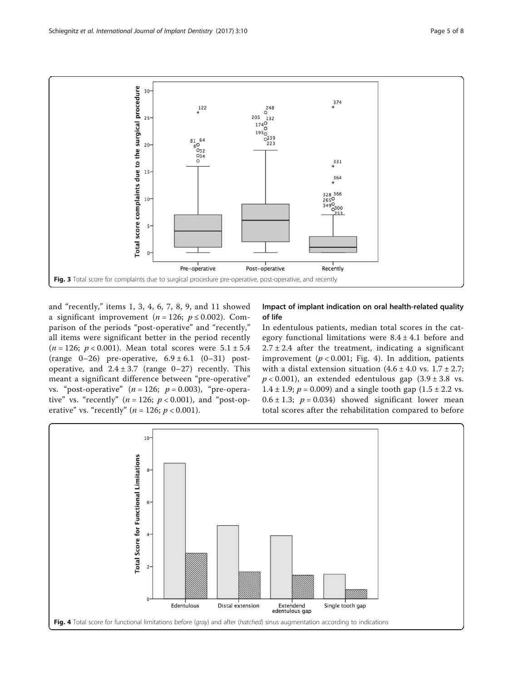<span id="page-4-0"></span>

and "recently," items 1, 3, 4, 6, 7, 8, 9, and 11 showed a significant improvement ( $n = 126$ ;  $p \le 0.002$ ). Comparison of the periods "post-operative" and "recently," all items were significant better in the period recently  $(n = 126; p < 0.001)$ . Mean total scores were  $5.1 \pm 5.4$ (range  $0-26$ ) pre-operative,  $6.9 \pm 6.1$   $(0-31)$  postoperative, and  $2.4 \pm 3.7$  (range 0–27) recently. This meant a significant difference between "pre-operative" vs. "post-operative"  $(n = 126; p = 0.003)$ , "pre-operative" vs. "recently"  $(n = 126; p < 0.001)$ , and "post-operative" vs. "recently" ( $n = 126$ ;  $p < 0.001$ ).

Impact of implant indication on oral health-related quality of life

In edentulous patients, median total scores in the category functional limitations were  $8.4 \pm 4.1$  before and  $2.7 \pm 2.4$  after the treatment, indicating a significant improvement  $(p < 0.001$ ; Fig. 4). In addition, patients with a distal extension situation  $(4.6 \pm 4.0 \text{ vs. } 1.7 \pm 2.7)$ ;  $p < 0.001$ ), an extended edentulous gap  $(3.9 \pm 3.8 \text{ vs.})$ 1.4 ± 1.9;  $p = 0.009$ ) and a single tooth gap (1.5 ± 2.2 vs.  $0.6 \pm 1.3$ ;  $p = 0.034$ ) showed significant lower mean total scores after the rehabilitation compared to before

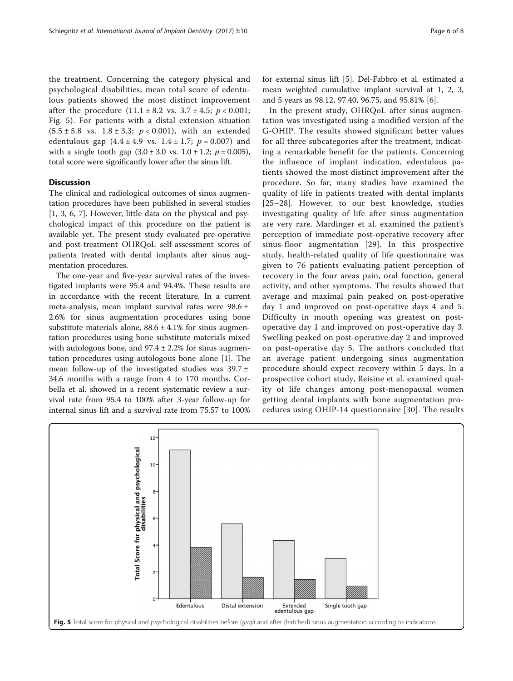the treatment. Concerning the category physical and psychological disabilities, mean total score of edentulous patients showed the most distinct improvement after the procedure  $(11.1 \pm 8.2 \text{ vs. } 3.7 \pm 4.5; p < 0.001;$ Fig. 5). For patients with a distal extension situation  $(5.5 \pm 5.8 \text{ vs. } 1.8 \pm 3.3; p < 0.001)$ , with an extended edentulous gap  $(4.4 \pm 4.9 \text{ vs. } 1.4 \pm 1.7; p = 0.007)$  and with a single tooth gap  $(3.0 \pm 3.0 \text{ vs. } 1.0 \pm 1.2; p = 0.005)$ , total score were significantly lower after the sinus lift.

# **Discussion**

The clinical and radiological outcomes of sinus augmentation procedures have been published in several studies [[1, 3](#page-6-0), [6, 7](#page-7-0)]. However, little data on the physical and psychological impact of this procedure on the patient is available yet. The present study evaluated pre-operative and post-treatment OHRQoL self-assessment scores of patients treated with dental implants after sinus augmentation procedures.

The one-year and five-year survival rates of the investigated implants were 95.4 and 94.4%. These results are in accordance with the recent literature. In a current meta-analysis, mean implant survival rates were 98.6 ± 2.6% for sinus augmentation procedures using bone substitute materials alone,  $88.6 \pm 4.1\%$  for sinus augmentation procedures using bone substitute materials mixed with autologous bone, and  $97.4 \pm 2.2\%$  for sinus augmentation procedures using autologous bone alone [\[1](#page-6-0)]. The mean follow-up of the investigated studies was  $39.7 \pm$ 34.6 months with a range from 4 to 170 months. Corbella et al. showed in a recent systematic review a survival rate from 95.4 to 100% after 3-year follow-up for internal sinus lift and a survival rate from 75.57 to 100% for external sinus lift [\[5\]](#page-7-0). Del-Fabbro et al. estimated a mean weighted cumulative implant survival at 1, 2, 3, and 5 years as 98.12, 97.40, 96.75, and 95.81% [[6\]](#page-7-0).

In the present study, OHRQoL after sinus augmentation was investigated using a modified version of the G-OHIP. The results showed significant better values for all three subcategories after the treatment, indicating a remarkable benefit for the patients. Concerning the influence of implant indication, edentulous patients showed the most distinct improvement after the procedure. So far, many studies have examined the quality of life in patients treated with dental implants [[25](#page-7-0)–[28\]](#page-7-0). However, to our best knowledge, studies investigating quality of life after sinus augmentation are very rare. Mardinger et al. examined the patient's perception of immediate post-operative recovery after sinus-floor augmentation [\[29\]](#page-7-0). In this prospective study, health-related quality of life questionnaire was given to 76 patients evaluating patient perception of recovery in the four areas pain, oral function, general activity, and other symptoms. The results showed that average and maximal pain peaked on post-operative day 1 and improved on post-operative days 4 and 5. Difficulty in mouth opening was greatest on postoperative day 1 and improved on post-operative day 3. Swelling peaked on post-operative day 2 and improved on post-operative day 5. The authors concluded that an average patient undergoing sinus augmentation procedure should expect recovery within 5 days. In a prospective cohort study, Reisine et al. examined quality of life changes among post-menopausal women getting dental implants with bone augmentation procedures using OHIP-14 questionnaire [[30](#page-7-0)]. The results

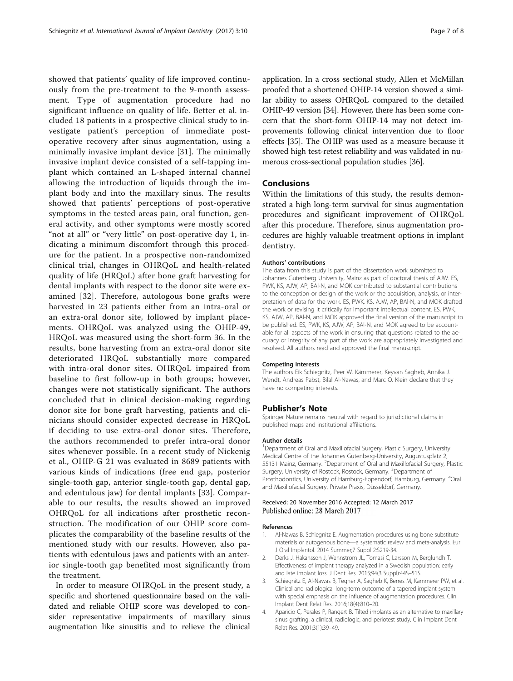<span id="page-6-0"></span>showed that patients' quality of life improved continuously from the pre-treatment to the 9-month assessment. Type of augmentation procedure had no significant influence on quality of life. Better et al. included 18 patients in a prospective clinical study to investigate patient's perception of immediate postoperative recovery after sinus augmentation, using a minimally invasive implant device [[31](#page-7-0)]. The minimally invasive implant device consisted of a self-tapping implant which contained an L-shaped internal channel allowing the introduction of liquids through the implant body and into the maxillary sinus. The results showed that patients' perceptions of post-operative symptoms in the tested areas pain, oral function, general activity, and other symptoms were mostly scored "not at all" or "very little" on post-operative day 1, indicating a minimum discomfort through this procedure for the patient. In a prospective non-randomized clinical trial, changes in OHRQoL and health-related quality of life (HRQoL) after bone graft harvesting for dental implants with respect to the donor site were examined [[32](#page-7-0)]. Therefore, autologous bone grafts were harvested in 23 patients either from an intra-oral or an extra-oral donor site, followed by implant placements. OHRQoL was analyzed using the OHIP-49, HRQoL was measured using the short-form 36. In the results, bone harvesting from an extra-oral donor site deteriorated HRQoL substantially more compared with intra-oral donor sites. OHRQoL impaired from baseline to first follow-up in both groups; however, changes were not statistically significant. The authors concluded that in clinical decision-making regarding donor site for bone graft harvesting, patients and clinicians should consider expected decrease in HRQoL if deciding to use extra-oral donor sites. Therefore, the authors recommended to prefer intra-oral donor sites whenever possible. In a recent study of Nickenig et al., OHIP-G 21 was evaluated in 8689 patients with various kinds of indications (free end gap, posterior single-tooth gap, anterior single-tooth gap, dental gap, and edentulous jaw) for dental implants [[33](#page-7-0)]. Comparable to our results, the results showed an improved OHRQoL for all indications after prosthetic reconstruction. The modification of our OHIP score complicates the comparability of the baseline results of the mentioned study with our results. However, also patients with edentulous jaws and patients with an anterior single-tooth gap benefited most significantly from the treatment.

In order to measure OHRQoL in the present study, a specific and shortened questionnaire based on the validated and reliable OHIP score was developed to consider representative impairments of maxillary sinus augmentation like sinusitis and to relieve the clinical

application. In a cross sectional study, Allen et McMillan proofed that a shortened OHIP-14 version showed a similar ability to assess OHRQoL compared to the detailed OHIP-49 version [[34](#page-7-0)]. However, there has been some concern that the short-form OHIP-14 may not detect improvements following clinical intervention due to floor effects [[35](#page-7-0)]. The OHIP was used as a measure because it showed high test-retest reliability and was validated in numerous cross-sectional population studies [\[36\]](#page-7-0).

## **Conclusions**

Within the limitations of this study, the results demonstrated a high long-term survival for sinus augmentation procedures and significant improvement of OHRQoL after this procedure. Therefore, sinus augmentation procedures are highly valuable treatment options in implant dentistry.

#### Authors' contributions

The data from this study is part of the dissertation work submitted to Johannes Gutenberg University, Mainz as part of doctoral thesis of AJW. ES, PWK, KS, AJW, AP, BAl-N, and MOK contributed to substantial contributions to the conception or design of the work or the acquisition, analysis, or interpretation of data for the work. ES, PWK, KS, AJW, AP, BAl-N, and MOK drafted the work or revising it critically for important intellectual content. ES, PWK, KS, AJW, AP, BAl-N, and MOK approved the final version of the manuscript to be published. ES, PWK, KS, AJW, AP, BAl-N, and MOK agreed to be accountable for all aspects of the work in ensuring that questions related to the accuracy or integrity of any part of the work are appropriately investigated and resolved. All authors read and approved the final manuscript.

#### Competing interests

The authors Eik Schiegnitz, Peer W. Kämmerer, Keyvan Sagheb, Annika J. Wendt, Andreas Pabst, Bilal Al-Nawas, and Marc O. Klein declare that they have no competing interests.

## Publisher's Note

Springer Nature remains neutral with regard to jurisdictional claims in published maps and institutional affiliations.

#### Author details

<sup>1</sup>Department of Oral and Maxillofacial Surgery, Plastic Surgery, University Medical Centre of the Johannes Gutenberg-University, Augustusplatz 2, 55131 Mainz, Germany. <sup>2</sup>Department of Oral and Maxillofacial Surgery, Plastic Surgery, University of Rostock, Rostock, Germany. <sup>3</sup>Department of Prosthodontics, University of Hamburg-Eppendorf, Hamburg, Germany. <sup>4</sup>Oral and Maxillofacial Surgery, Private Praxis, Düsseldorf, Germany.

#### Received: 20 November 2016 Accepted: 12 March 2017 Published online: 28 March 2017

#### References

- 1. Al-Nawas B, Schiegnitz E. Augmentation procedures using bone substitute materials or autogenous bone—a systematic review and meta-analysis. Eur J Oral Implantol. 2014 Summer;7 Suppl 2:S219-34.
- Derks J, Hakansson J, Wennstrom JL, Tomasi C, Larsson M, Berglundh T. Effectiveness of implant therapy analyzed in a Swedish population: early and late implant loss. J Dent Res. 2015;94(3 Suppl):44S–51S.
- 3. Schiegnitz E, Al-Nawas B, Tegner A, Sagheb K, Berres M, Kammerer PW, et al. Clinical and radiological long-term outcome of a tapered implant system with special emphasis on the influence of augmentation procedures. Clin Implant Dent Relat Res. 2016;18(4):810–20.
- 4. Aparicio C, Perales P, Rangert B. Tilted implants as an alternative to maxillary sinus grafting: a clinical, radiologic, and periotest study. Clin Implant Dent Relat Res. 2001;3(1):39–49.